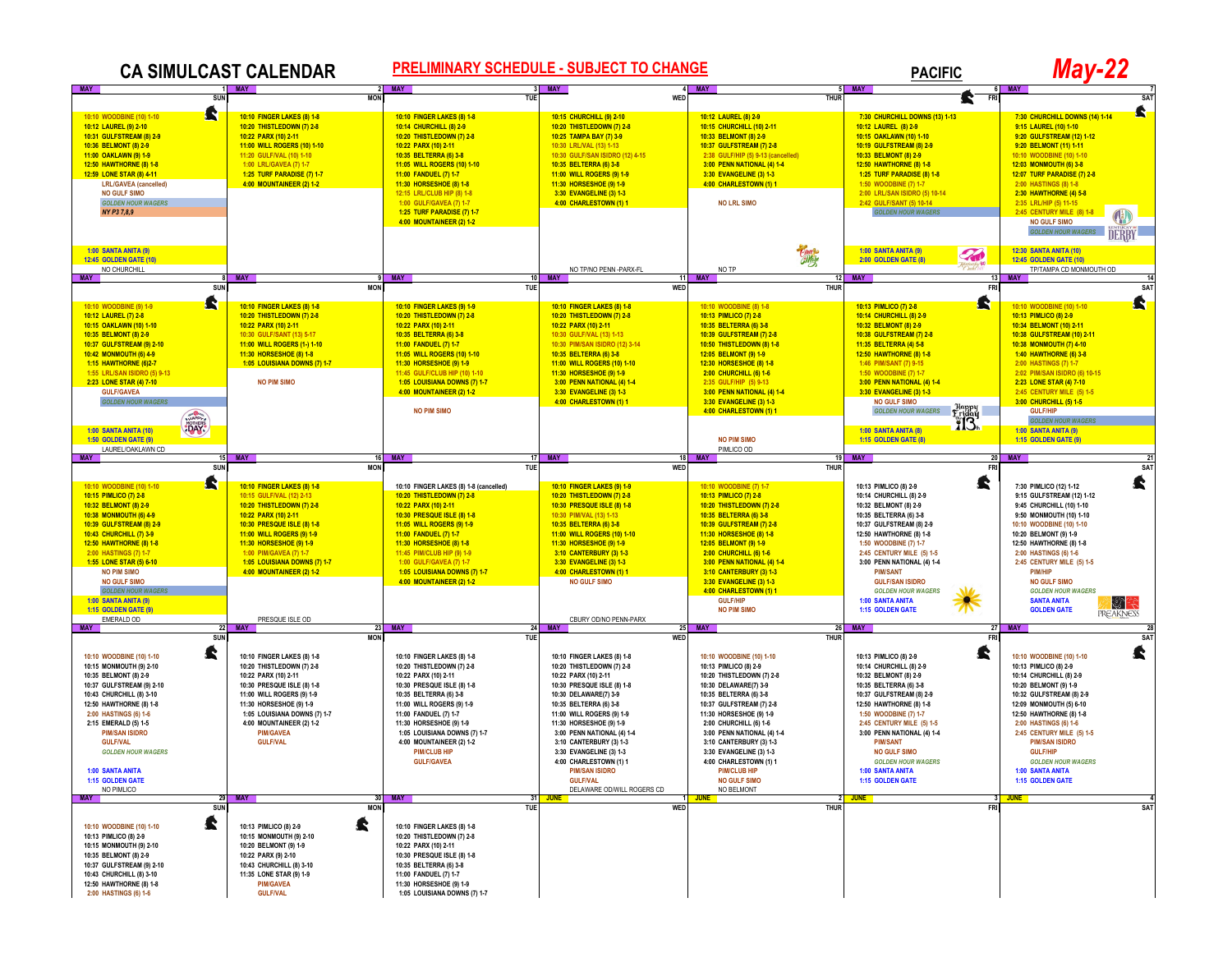